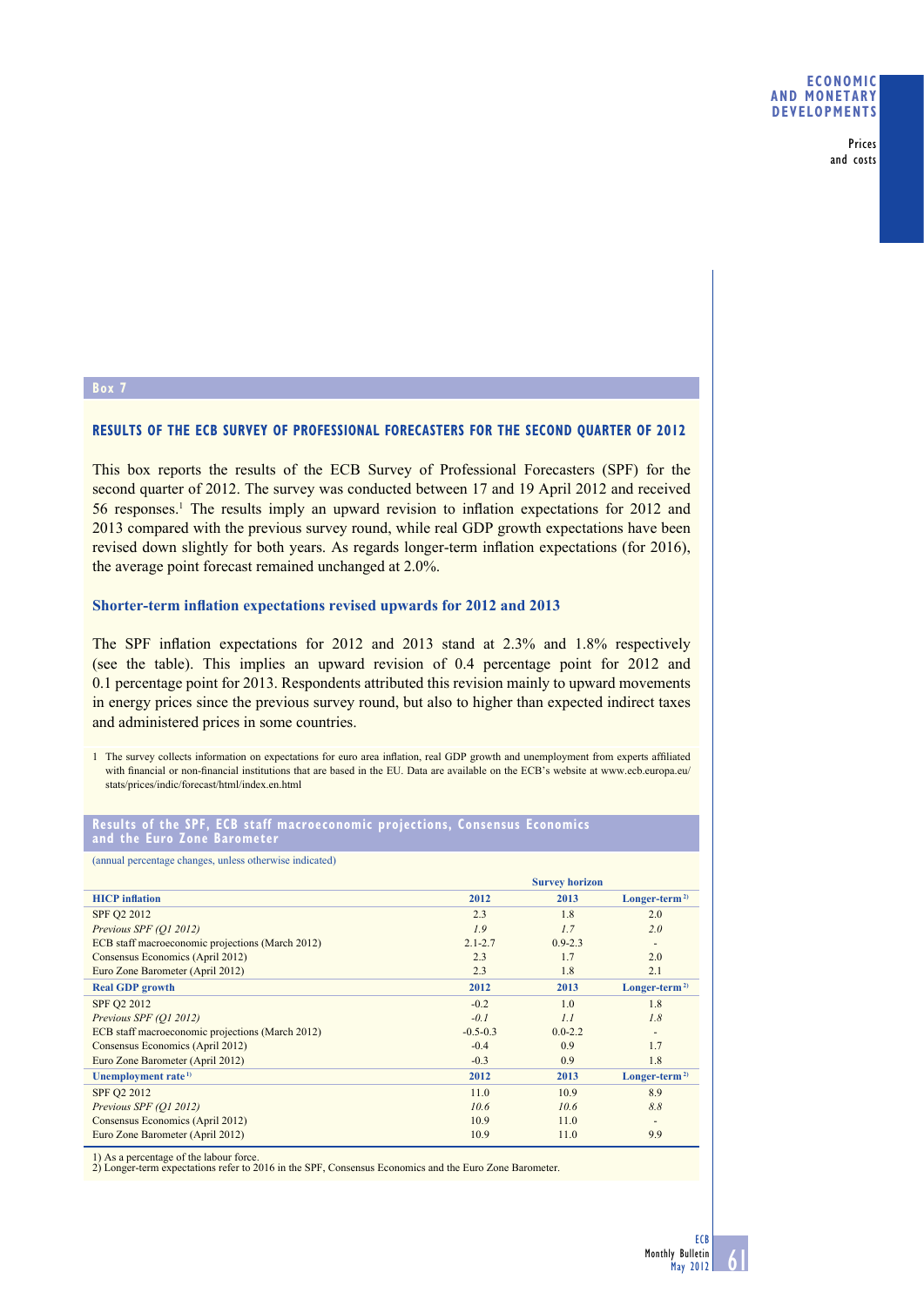Prices and costs

#### **Box 7**

## **RESULTS OF THE ECB SURVEY OF PROFESSIONAL FORECASTERS FOR THE SECOND QUARTER OF 2012**

This box reports the results of the ECB Survey of Professional Forecasters (SPF) for the second quarter of 2012. The survey was conducted between 17 and 19 April 2012 and received 56 responses.<sup>1</sup> The results imply an upward revision to inflation expectations for 2012 and 2013 compared with the previous survey round, while real GDP growth expectations have been revised down slightly for both years. As regards longer-term inflation expectations (for 2016), the average point forecast remained unchanged at 2.0%.

## **Shorter-term inflation expectations revised upwards for 2012 and 2013**

The SPF inflation expectations for 2012 and 2013 stand at  $2.3\%$  and  $1.8\%$  respectively (see the table). This implies an upward revision of 0.4 percentage point for 2012 and 0.1 percentage point for 2013. Respondents attributed this revision mainly to upward movements in energy prices since the previous survey round, but also to higher than expected indirect taxes and administered prices in some countries.

1 The survey collects information on expectations for euro area inflation, real GDP growth and unemployment from experts affiliated with financial or non-financial institutions that are based in the EU. Data are available on the ECB's website at www.ecb.europa.eu/ stats/prices/indic/forecast/html/index.en.html

### **Results of the SPF, ECB staff macroeconomic projections, Consensus Economics and the Euro Zone Barometer**

(annual percentage changes, unless otherwise indicated)

|                                                  |             | <b>Survey horizon</b> |                          |
|--------------------------------------------------|-------------|-----------------------|--------------------------|
| <b>HICP</b> inflation                            | 2012        | 2013                  | $Longer-term2$           |
| SPF Q2 2012                                      | 2.3         | 1.8                   | 2.0                      |
| Previous SPF (O1 2012)                           | 1.9         | 1.7                   | 2.0                      |
| ECB staff macroeconomic projections (March 2012) | $2.1 - 2.7$ | $0.9 - 2.3$           | $\overline{\phantom{a}}$ |
| Consensus Economics (April 2012)                 | 2.3         | 1.7                   | 2.0                      |
| Euro Zone Barometer (April 2012)                 | 2.3         | 1.8                   | 2.1                      |
| <b>Real GDP</b> growth                           | 2012        | 2013                  | $Longer-term2$           |
| SPF Q2 2012                                      | $-0.2$      | 1.0                   | 1.8                      |
| Previous SPF (O1 2012)                           | $-0.1$      | 1.1                   | 1.8                      |
| ECB staff macroeconomic projections (March 2012) | $-0.5-0.3$  | $0.0 - 2.2$           | $\overline{\phantom{a}}$ |
| Consensus Economics (April 2012)                 | $-0.4$      | 0.9                   | 1.7                      |
| Euro Zone Barometer (April 2012)                 | $-0.3$      | 0.9                   | 1.8                      |
| Unemployment rate <sup>1)</sup>                  | 2012        | 2013                  | $Longer-term2$           |
| SPF Q2 2012                                      | 11.0        | 10.9                  | 8.9                      |
| Previous SPF (Q1 2012)                           | 10.6        | 10.6                  | 8.8                      |
| Consensus Economics (April 2012)                 | 10.9        | 11.0                  | $\overline{\phantom{a}}$ |
| Euro Zone Barometer (April 2012)                 | 10.9        | 11.0                  | 9.9                      |

1) As a percentage of the labour force. 2) Longer-term expectations refer to 2016 in the SPF, Consensus Economics and the Euro Zone Barometer.

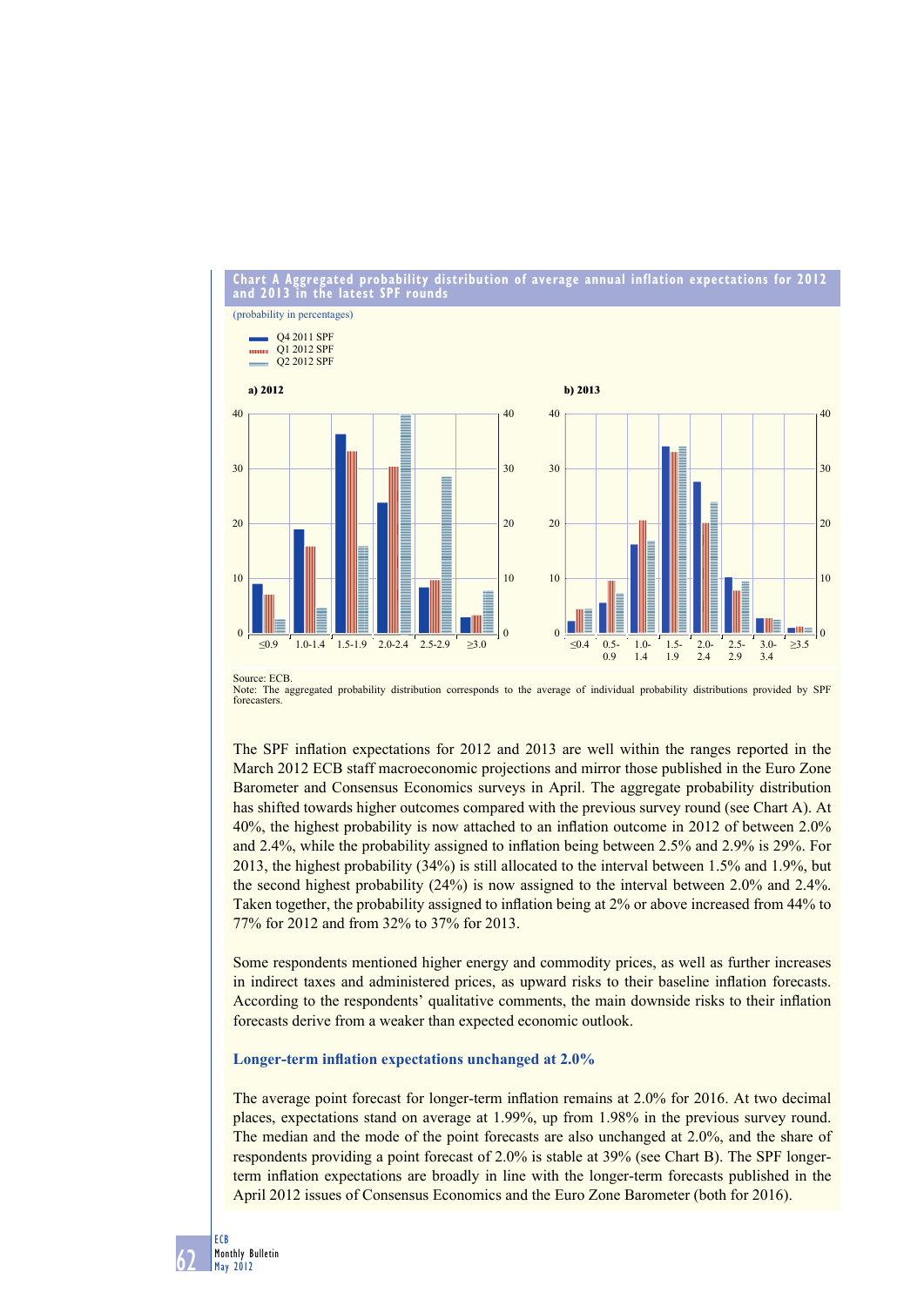**Chart A Aggregated probability distribution of average annual inflation expectations for 2012 and 2013 in the latest SPF rounds**



Note: The aggregated probability distribution corresponds to the average of individual probability distributions provided by SPF forecasters.

The SPF inflation expectations for 2012 and 2013 are well within the ranges reported in the March 2012 ECB staff macroeconomic projections and mirror those published in the Euro Zone Barometer and Consensus Economics surveys in April. The aggregate probability distribution has shifted towards higher outcomes compared with the previous survey round (see Chart A). At 40%, the highest probability is now attached to an inflation outcome in 2012 of between  $2.0\%$ and  $2.4\%$ , while the probability assigned to inflation being between  $2.5\%$  and  $2.9\%$  is 29%. For 2013, the highest probability (34%) is still allocated to the interval between 1.5% and 1.9%, but the second highest probability (24%) is now assigned to the interval between 2.0% and 2.4%. Taken together, the probability assigned to inflation being at 2% or above increased from 44% to 77% for 2012 and from 32% to 37% for 2013.

Some respondents mentioned higher energy and commodity prices, as well as further increases in indirect taxes and administered prices, as upward risks to their baseline inflation forecasts. According to the respondents' qualitative comments, the main downside risks to their inflation forecasts derive from a weaker than expected economic outlook.

## **Longer-term inflation expectations unchanged at 2.0%**

The average point forecast for longer-term inflation remains at 2.0% for 2016. At two decimal places, expectations stand on average at 1.99%, up from 1.98% in the previous survey round. The median and the mode of the point forecasts are also unchanged at 2.0%, and the share of respondents providing a point forecast of 2.0% is stable at 39% (see Chart B). The SPF longerterm inflation expectations are broadly in line with the longer-term forecasts published in the April 2012 issues of Consensus Economics and the Euro Zone Barometer (both for 2016).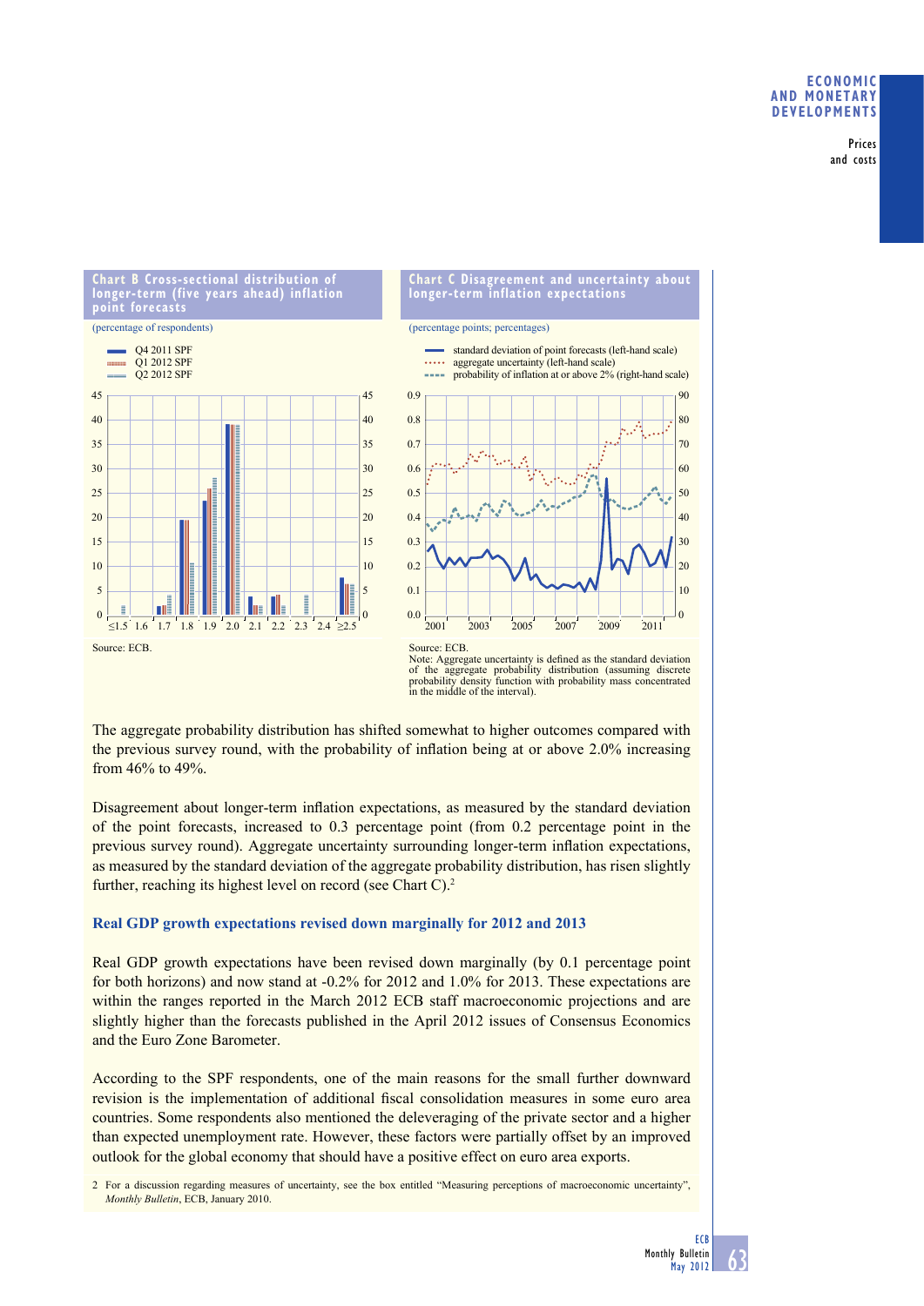## **ECONOMIC AND MONETARY DEVELOPMENTS**

Prices and costs

#### **Chart B Cross-sectional distribution of longer-term (five years ahead) inflation point forecasts**



## **Chart C Disagreement and uncertainty about longer-term inflation expectations**

(percentage points; percentages)

standard deviation of point forecasts (left-hand scale) **.....** aggregate uncertainty (left-hand scale) probability of inflation at or above 2% (right-hand scale) 0.9  $90$ 0.8 80 70  $0.7$ é, 0.6 60 50  $0.5$ 0.4  $40$  $0.3$ 30 0.2 20 0.1 10 0.0  $\mathfrak{c}$ 2001 2003 2005 2007 2009 2011 Source: ECB.

Note: Aggregate uncertainty is defined as the standard deviation of the aggregate probability distribution (assuming discrete probability density function with probability mass concentrated in the middle of the interval).

The aggregate probability distribution has shifted somewhat to higher outcomes compared with the previous survey round, with the probability of inflation being at or above  $2.0\%$  increasing from 46% to 49%.

Disagreement about longer-term inflation expectations, as measured by the standard deviation of the point forecasts, increased to 0.3 percentage point (from 0.2 percentage point in the previous survey round). Aggregate uncertainty surrounding longer-term inflation expectations, as measured by the standard deviation of the aggregate probability distribution, has risen slightly further, reaching its highest level on record (see Chart C).<sup>2</sup>

# **Real GDP growth expectations revised down marginally for 2012 and 2013**

Real GDP growth expectations have been revised down marginally (by 0.1 percentage point for both horizons) and now stand at -0.2% for 2012 and 1.0% for 2013. These expectations are within the ranges reported in the March 2012 ECB staff macroeconomic projections and are slightly higher than the forecasts published in the April 2012 issues of Consensus Economics and the Euro Zone Barometer.

According to the SPF respondents, one of the main reasons for the small further downward revision is the implementation of additional fiscal consolidation measures in some euro area countries. Some respondents also mentioned the deleveraging of the private sector and a higher than expected unemployment rate. However, these factors were partially offset by an improved outlook for the global economy that should have a positive effect on euro area exports.

2 For a discussion regarding measures of uncertainty, see the box entitled "Measuring perceptions of macroeconomic uncertainty", *Monthly Bulletin*, ECB, January 2010.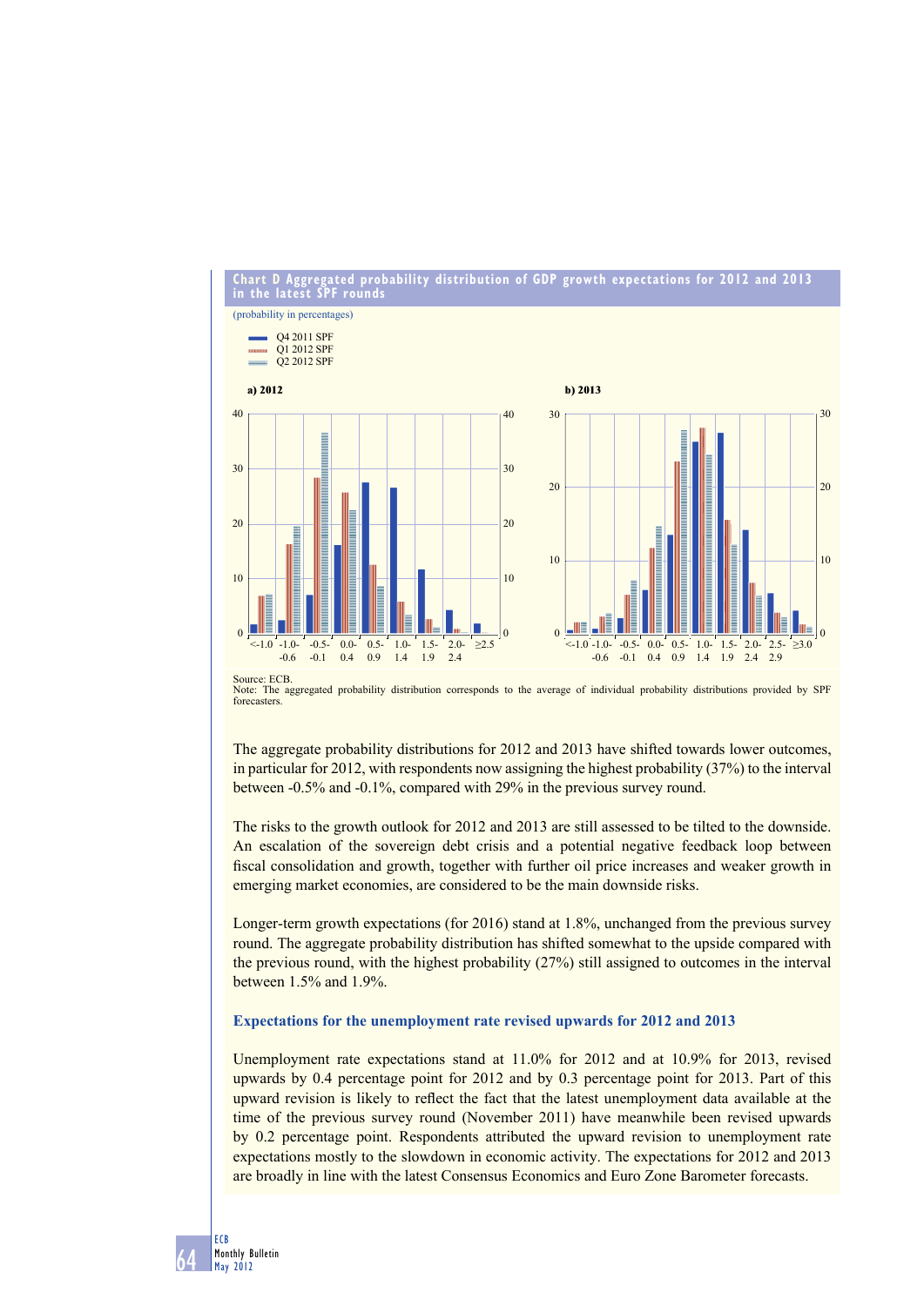



Note: The aggregated probability distribution corresponds to the average of individual probability distributions provided by SPF forecasters.

The aggregate probability distributions for 2012 and 2013 have shifted towards lower outcomes, in particular for 2012, with respondents now assigning the highest probability (37%) to the interval between -0.5% and -0.1%, compared with 29% in the previous survey round.

The risks to the growth outlook for 2012 and 2013 are still assessed to be tilted to the downside. An escalation of the sovereign debt crisis and a potential negative feedback loop between fiscal consolidation and growth, together with further oil price increases and weaker growth in emerging market economies, are considered to be the main downside risks.

Longer-term growth expectations (for 2016) stand at 1.8%, unchanged from the previous survey round. The aggregate probability distribution has shifted somewhat to the upside compared with the previous round, with the highest probability (27%) still assigned to outcomes in the interval between 1.5% and 1.9%.

## **Expectations for the unemployment rate revised upwards for 2012 and 2013**

Unemployment rate expectations stand at 11.0% for 2012 and at 10.9% for 2013, revised upwards by 0.4 percentage point for 2012 and by 0.3 percentage point for 2013. Part of this upward revision is likely to reflect the fact that the latest unemployment data available at the time of the previous survey round (November 2011) have meanwhile been revised upwards by 0.2 percentage point. Respondents attributed the upward revision to unemployment rate expectations mostly to the slowdown in economic activity. The expectations for 2012 and 2013 are broadly in line with the latest Consensus Economics and Euro Zone Barometer forecasts.



Source: ECB.